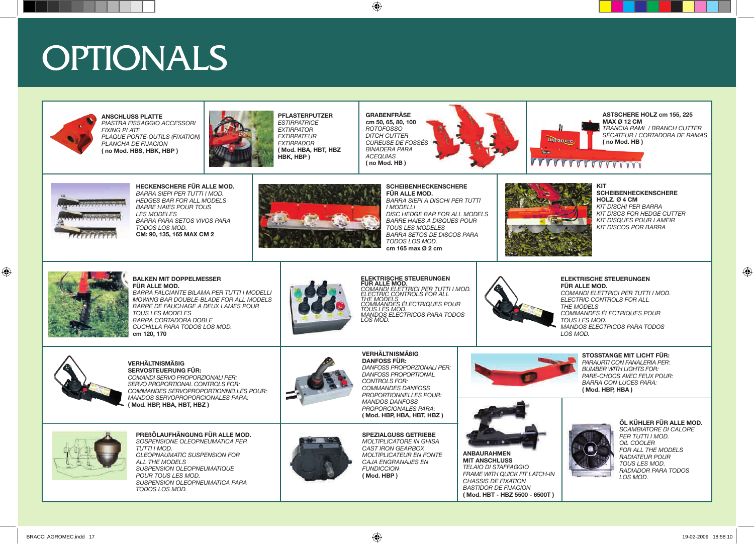## OPTIONALS



**ANSCHLUSS PLATTE** *PIASTRA FISSAGGIO ACCESSORI FIXING PLATE PLAQUE PORTE-OUTILS (FIXATION) PLANCHA DE FIJACION* **( no Mod. HBS, HBK, HBP )**



**PFLASTERPUTZER** *ESTIRPATRICE EXTIRPATOR EXTIRPATEUR EXTIRPADOR* **( Mod. HBA, HBT, HBZ HBK, HBP )**

**GRABENFRÄSE cm 50, 65, 80, 100** *ROTOFOSSO DITCH CUTTER CUREUSE DE FOSSÉS BINADERA PARA ACEQUIAS* **( no Mod. HB )**



**ASTSCHERE HOLZ cm 155, 225 MAX Ø 12 CM** *TRANCIA RAMI / BRANCH CUTTER SÉCATEUR / CORTADORA DE RAMAS* **( no Mod. HB )**



**HECKENSCHERE FÜR ALLE MOD.** *BARRA SIEPI PER TUTTI I MOD. HEDGES BAR FOR ALL MODELS BARRE HAIES POUR TOUS LES MODELES BARRA PARA SETOS VIVOS PARA TODOS LOS MOD.* **CM: 90, 135, 165 MAX CM 2**



**SCHEIBENHECKENSCHERE FÜR ALLE MOD.** *BARRA SIEPI A DISCHI PER TUTTI I MODELLI DISC HEDGE BAR FOR ALL MODELS BARRE HAIES A DISQUES POUR TOUS LES MODELES BARRA SETOS DE DISCOS PARA TODOS LOS MOD.* **cm 165 max Ø 2 cm**



agromec

VVVVVVVVVVVV

**REGION** 

**KIT SCHEIBENHECKENSCHERE HOLZ. Ø 4 CM** *KIT DISCHI PER BARRA KIT DISCS FOR HEDGE CUTTER KIT DISQUES POUR LAMEIR KIT DISCOS POR BARRA*



**BALKEN MIT DOPPELMESSER FÜR ALLE MOD.**  *BARRA FALCIANTE BILAMA PER TUTTI I MODELLI* 

*MOWING BAR DOUBLE-BLADE FOR ALL MODELS BARRE DE FAUCHAGE A DEUX LAMES POUR TOUS LES MODELES BARRA CORTADORA DOBLE CUCHILLA PARA TODOS LOS MOD.* **cm 120, 170**



**ELEKTRISCHE STEUERUNGEN FÜR ALLE MOD.** *COMANDI ELETTRICI PER TUTTI I MOD. ELECTRIC CONTROLS FOR ALL THE MODELS COMMANDES ÉLECTRIQUES POUR TOUS LES MOD. MANDOS ELECTRICOS PARA TODOS LOS MOD.*



**ELEKTRISCHE STEUERUNGEN FÜR ALLE MOD.**

*COMANDI ELETTRICI PER TUTTI I MOD. ELECTRIC CONTROLS FOR ALL THE MODELS COMMANDES ÉLECTRIQUES POUR TOUS LES MOD. MANDOS ELECTRICOS PARA TODOS LOS MOD.*



**VERHÄLTNISMÄßIG SERVOSTEUERUNG FÜR:**  *COMANDI SERVO PROPORZIONALI PER:*

*SERVO PROPORTIONAL CONTROLS FOR: COMMANDES SERVOPROPORTIONNELLES POUR: MANDOS SERVOPROPORCIONALES PARA:* **( Mod. HBP, HBA, HBT, HBZ )**



**PREßÖLAUFHÄNGUNG FÜR ALLE MOD.** *SOSPENSIONE OLEOPNEUMATICA PER TUTTI I MOD. OLEOPNAUMATIC SUSPENSION FOR ALL THE MODELS SUSPENSION OLEOPNEUMATIQUE POUR TOUS LES MOD. SUSPENSION OLEOPNEUMATICA PARA TODOS LOS MOD.*



*COMMANDES DANFOSS PROPORTIONNELLES POUR: MANDOS DANFOSS PROPORCIONALES PARA:* **( Mod. HBP, HBA, HBT, HBZ ) SPEZIALGUSS GETRIEBE**

**VERHÄLTNISMÄßIG DANFOSS FÜR:** 

*DANFOSS PROPORZIONALI PER: DANFOSS PROPORTIONAL CONTROLS FOR:*





**ANBAURAHMEN** 

*FRAME WITH QUICK FIT LATCH-IN CHASSIS DE FIXATION BASTIDOR DE FIJACION* **( Mod. HBT - HBZ 5500 - 6500T )**

**STOSSTANGE MIT LICHT FÜR:**  *PARAURTI CON FANALERIA PER: BUMBER WITH LIGHTS FOR: PARE-CHOCS AVEC FEUX POUR: BARRA CON LUCES PARA:* **( Mod. HBP, HBA )**



*SCAMBIATORE DI CALORE PER TUTTI I MOD. OIL COOLER FOR ALL THE MODELS RADIATEUR POUR TOUS LES MOD. RADIADOR PARA TODOS LOS MOD.*

**ÖL KÜHLER FÜR ALLE MOD.**